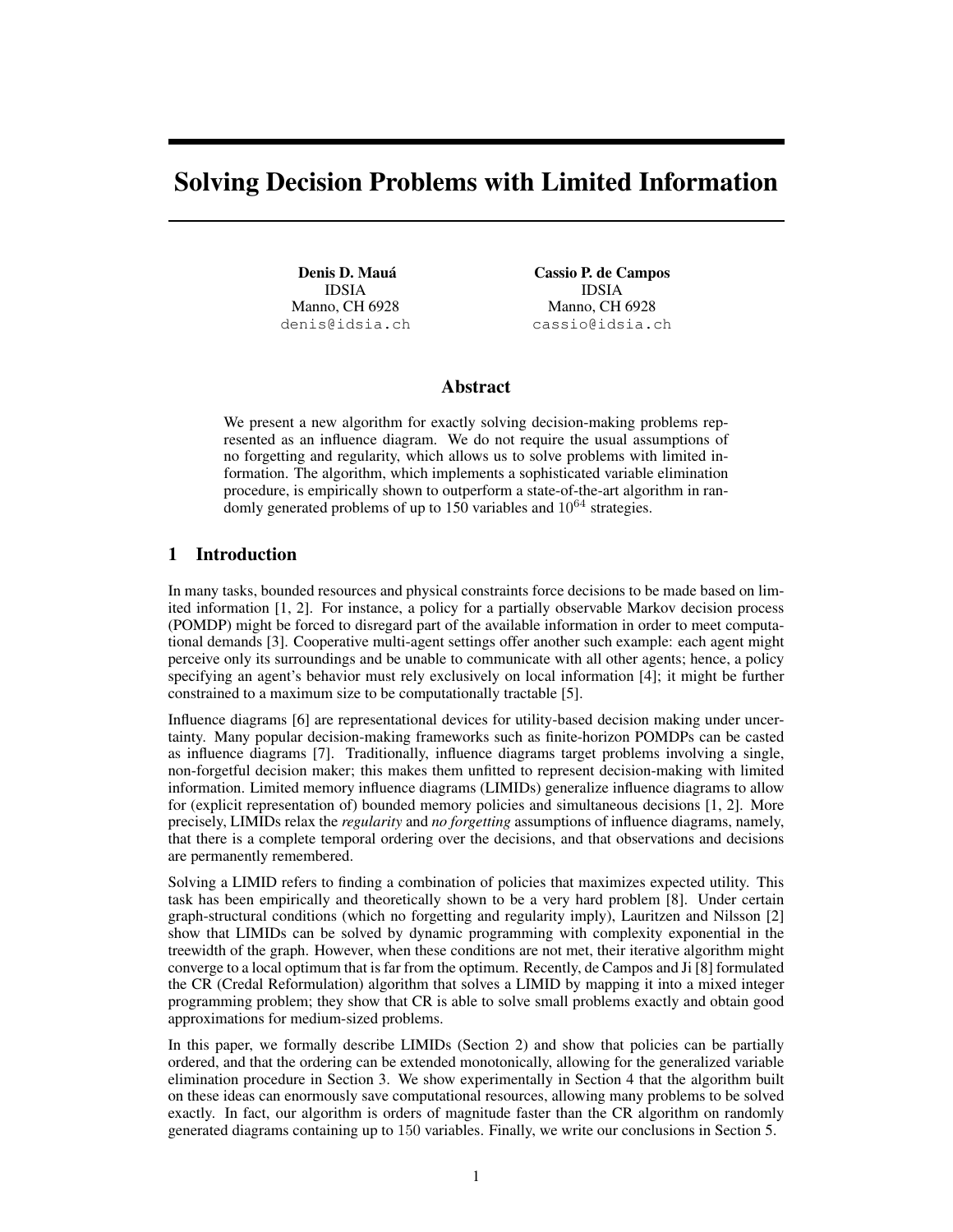# Solving Decision Problems with Limited Information

Denis D. Mauá IDSIA Manno, CH 6928 denis@idsia.ch

Cassio P. de Campos IDSIA Manno, CH 6928 cassio@idsia.ch

#### Abstract

We present a new algorithm for exactly solving decision-making problems represented as an influence diagram. We do not require the usual assumptions of no forgetting and regularity, which allows us to solve problems with limited information. The algorithm, which implements a sophisticated variable elimination procedure, is empirically shown to outperform a state-of-the-art algorithm in randomly generated problems of up to 150 variables and  $10^{64}$  strategies.

## 1 Introduction

In many tasks, bounded resources and physical constraints force decisions to be made based on limited information [1, 2]. For instance, a policy for a partially observable Markov decision process (POMDP) might be forced to disregard part of the available information in order to meet computational demands [3]. Cooperative multi-agent settings offer another such example: each agent might perceive only its surroundings and be unable to communicate with all other agents; hence, a policy specifying an agent's behavior must rely exclusively on local information [4]; it might be further constrained to a maximum size to be computationally tractable [5].

Influence diagrams [6] are representational devices for utility-based decision making under uncertainty. Many popular decision-making frameworks such as finite-horizon POMDPs can be casted as influence diagrams [7]. Traditionally, influence diagrams target problems involving a single, non-forgetful decision maker; this makes them unfitted to represent decision-making with limited information. Limited memory influence diagrams (LIMIDs) generalize influence diagrams to allow for (explicit representation of) bounded memory policies and simultaneous decisions [1, 2]. More precisely, LIMIDs relax the *regularity* and *no forgetting* assumptions of influence diagrams, namely, that there is a complete temporal ordering over the decisions, and that observations and decisions are permanently remembered.

Solving a LIMID refers to finding a combination of policies that maximizes expected utility. This task has been empirically and theoretically shown to be a very hard problem [8]. Under certain graph-structural conditions (which no forgetting and regularity imply), Lauritzen and Nilsson [2] show that LIMIDs can be solved by dynamic programming with complexity exponential in the treewidth of the graph. However, when these conditions are not met, their iterative algorithm might converge to a local optimum that is far from the optimum. Recently, de Campos and Ji [8] formulated the CR (Credal Reformulation) algorithm that solves a LIMID by mapping it into a mixed integer programming problem; they show that CR is able to solve small problems exactly and obtain good approximations for medium-sized problems.

In this paper, we formally describe LIMIDs (Section 2) and show that policies can be partially ordered, and that the ordering can be extended monotonically, allowing for the generalized variable elimination procedure in Section 3. We show experimentally in Section 4 that the algorithm built on these ideas can enormously save computational resources, allowing many problems to be solved exactly. In fact, our algorithm is orders of magnitude faster than the CR algorithm on randomly generated diagrams containing up to 150 variables. Finally, we write our conclusions in Section 5.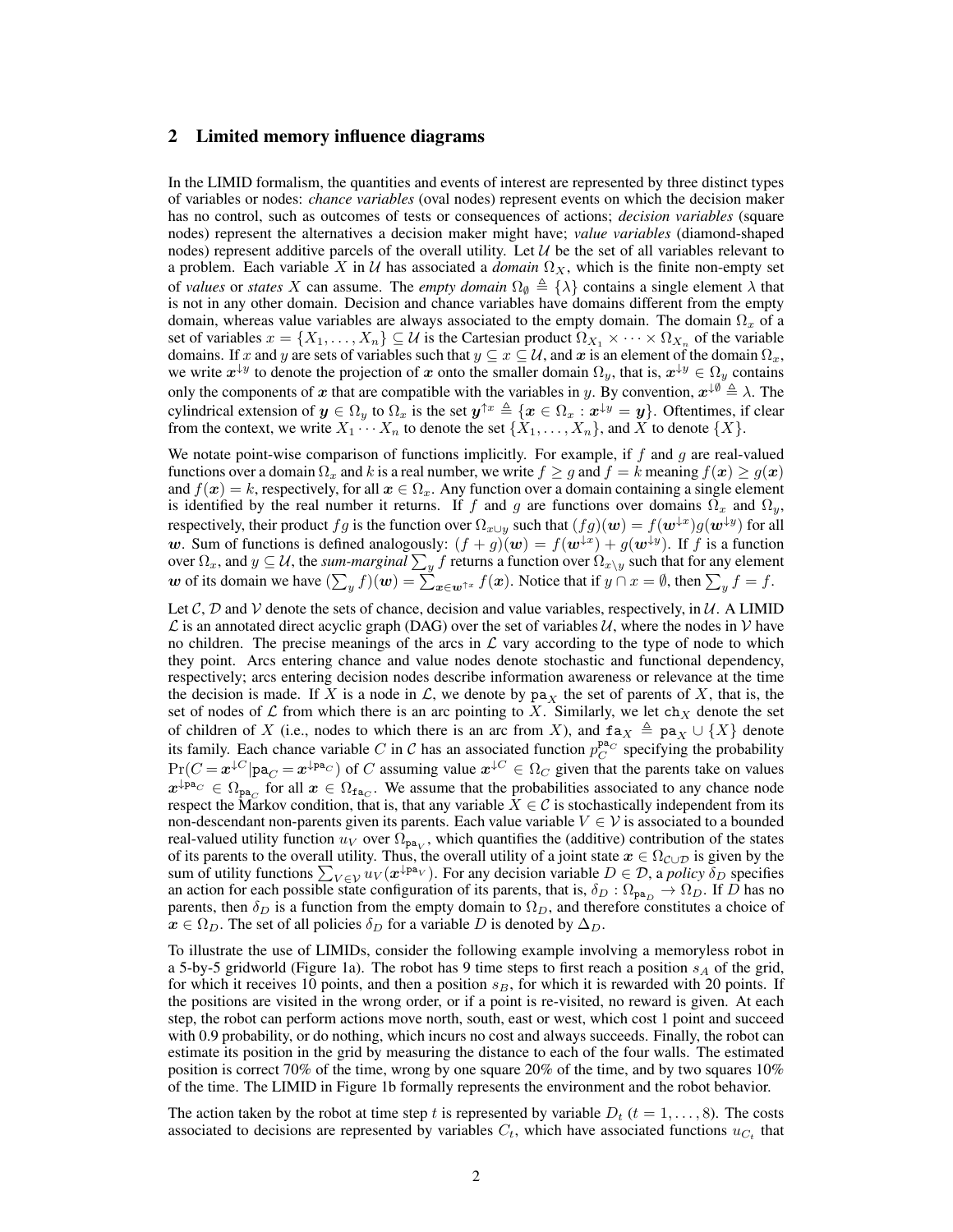## 2 Limited memory influence diagrams

In the LIMID formalism, the quantities and events of interest are represented by three distinct types of variables or nodes: *chance variables* (oval nodes) represent events on which the decision maker has no control, such as outcomes of tests or consequences of actions; *decision variables* (square nodes) represent the alternatives a decision maker might have; *value variables* (diamond-shaped nodes) represent additive parcels of the overall utility. Let  $\mathcal{U}$  be the set of all variables relevant to a problem. Each variable X in U has associated a *domain*  $\Omega_X$ , which is the finite non-empty set of *values* or *states* X can assume. The *empty domain*  $\Omega_{\emptyset} \triangleq \{\lambda\}$  contains a single element  $\lambda$  that is not in any other domain. Decision and chance variables have domains different from the empty domain, whereas value variables are always associated to the empty domain. The domain  $\Omega_x$  of a set of variables  $x = \{X_1, \ldots, X_n\} \subseteq \mathcal{U}$  is the Cartesian product  $\Omega_{X_1} \times \cdots \times \Omega_{X_n}$  of the variable domains. If x and y are sets of variables such that  $y \subseteq x \subseteq U$ , and x is an element of the domain  $\Omega_x$ , we write  $x^{\downarrow y}$  to denote the projection of x onto the smaller domain  $\Omega_y$ , that is,  $x^{\downarrow y} \in \Omega_y$  contains only the components of x that are compatible with the variables in y. By convention,  $x^{\downarrow \emptyset} \triangleq \lambda$ . The cylindrical extension of  $y \in \Omega_y$  to  $\Omega_x$  is the set  $y^{\uparrow x} \triangleq \{x \in \Omega_x : x^{\downarrow y} = y\}$ . Oftentimes, if clear from the context, we write  $X_1 \cdots X_n$  to denote the set  $\{X_1, \ldots, X_n\}$ , and X to denote  $\{X\}$ .

We notate point-wise comparison of functions implicitly. For example, if  $f$  and  $g$  are real-valued functions over a domain  $\Omega_x$  and k is a real number, we write  $f \geq g$  and  $f = k$  meaning  $f(x) \geq g(x)$ and  $f(x) = k$ , respectively, for all  $x \in \Omega_x$ . Any function over a domain containing a single element is identified by the real number it returns. If f and g are functions over domains  $\Omega_x$  and  $\Omega_y$ , respectively, their product  $fg$  is the function over  $\Omega_{x\cup y}$  such that  $(fg)(\bm{w})=f(\bm{w}^{\downarrow x})g(\bm{w}^{\downarrow y})$  for all w. Sum of functions is defined analogously:  $(f+g)(w) = f(w^{\downarrow x}) + g(w^{\downarrow y})$ . If f is a function over  $\Omega_x$ , and  $y\subseteq\mathcal U,$  the *sum-marginal*  $\sum_yf$  *returns a function over*  $\Omega_{x\setminus y}$  *such that for any element* w of its domain we have  $(\sum_{y} f)(w) = \sum_{x \in w^{\uparrow x}} f(x)$ . Notice that if  $y \cap x = \emptyset$ , then  $\sum_{y} f = f$ .

Let C, D and V denote the sets of chance, decision and value variables, respectively, in  $\mathcal{U}$ . A LIMID  $\mathcal L$  is an annotated direct acyclic graph (DAG) over the set of variables U, where the nodes in V have no children. The precise meanings of the arcs in  $\mathcal L$  vary according to the type of node to which they point. Arcs entering chance and value nodes denote stochastic and functional dependency, respectively; arcs entering decision nodes describe information awareness or relevance at the time the decision is made. If X is a node in  $\mathcal{L}$ , we denote by pa<sub>X</sub> the set of parents of X, that is, the set of nodes of L from which there is an arc pointing to X. Similarly, we let ch<sub>X</sub> denote the set of children of X (i.e., nodes to which there is an arc from X), and  $f a_X \triangleq pa_X \cup \{X\}$  denote its family. Each chance variable C in C has an associated function  $p_C^{\text{pa}_C}$  specifying the probability  $Pr(C = x^{\downarrow C} | pa_C = x^{\downarrow pa_C})$  of C assuming value  $x^{\downarrow C} \in \Omega_C$  given that the parents take on values  $x^{\downarrow_{\text{pa}_C}} \in \Omega_{\text{pa}_C}$  for all  $x \in \Omega_{\text{fa}_C}$ . We assume that the probabilities associated to any chance node respect the Markov condition, that is, that any variable  $X \in \mathcal{C}$  is stochastically independent from its non-descendant non-parents given its parents. Each value variable  $V \in \mathcal{V}$  is associated to a bounded real-valued utility function  $u_V$  over  $\Omega_{\text{pa}_V}$ , which quantifies the (additive) contribution of the states of its parents to the overall utility. Thus, the overall utility of a joint state  $x \in \Omega_{\mathcal{C} \cup \mathcal{D}}$  is given by the sum of utility functions  $\sum_{V \in \mathcal{V}} u_V(\mathbf{x}^{\downarrow \mathbf{pa}_V})$ . For any decision variable  $D \in \mathcal{D}$ , a *policy*  $\delta_D$  specifies an action for each possible state configuration of its parents, that is,  $\delta_D : \Omega_{\text{pa}_D} \to \Omega_D$ . If D has no parents, then  $\delta_D$  is a function from the empty domain to  $\Omega_D$ , and therefore constitutes a choice of  $x \in \Omega_D$ . The set of all policies  $\delta_D$  for a variable D is denoted by  $\Delta_D$ .

To illustrate the use of LIMIDs, consider the following example involving a memoryless robot in a 5-by-5 gridworld (Figure 1a). The robot has 9 time steps to first reach a position  $s_A$  of the grid, for which it receives 10 points, and then a position  $s_B$ , for which it is rewarded with 20 points. If the positions are visited in the wrong order, or if a point is re-visited, no reward is given. At each step, the robot can perform actions move north, south, east or west, which cost 1 point and succeed with 0.9 probability, or do nothing, which incurs no cost and always succeeds. Finally, the robot can estimate its position in the grid by measuring the distance to each of the four walls. The estimated position is correct 70% of the time, wrong by one square 20% of the time, and by two squares 10% of the time. The LIMID in Figure 1b formally represents the environment and the robot behavior.

The action taken by the robot at time step t is represented by variable  $D_t$  (t = 1, ..., 8). The costs associated to decisions are represented by variables  $C_t$ , which have associated functions  $u_{C_t}$  that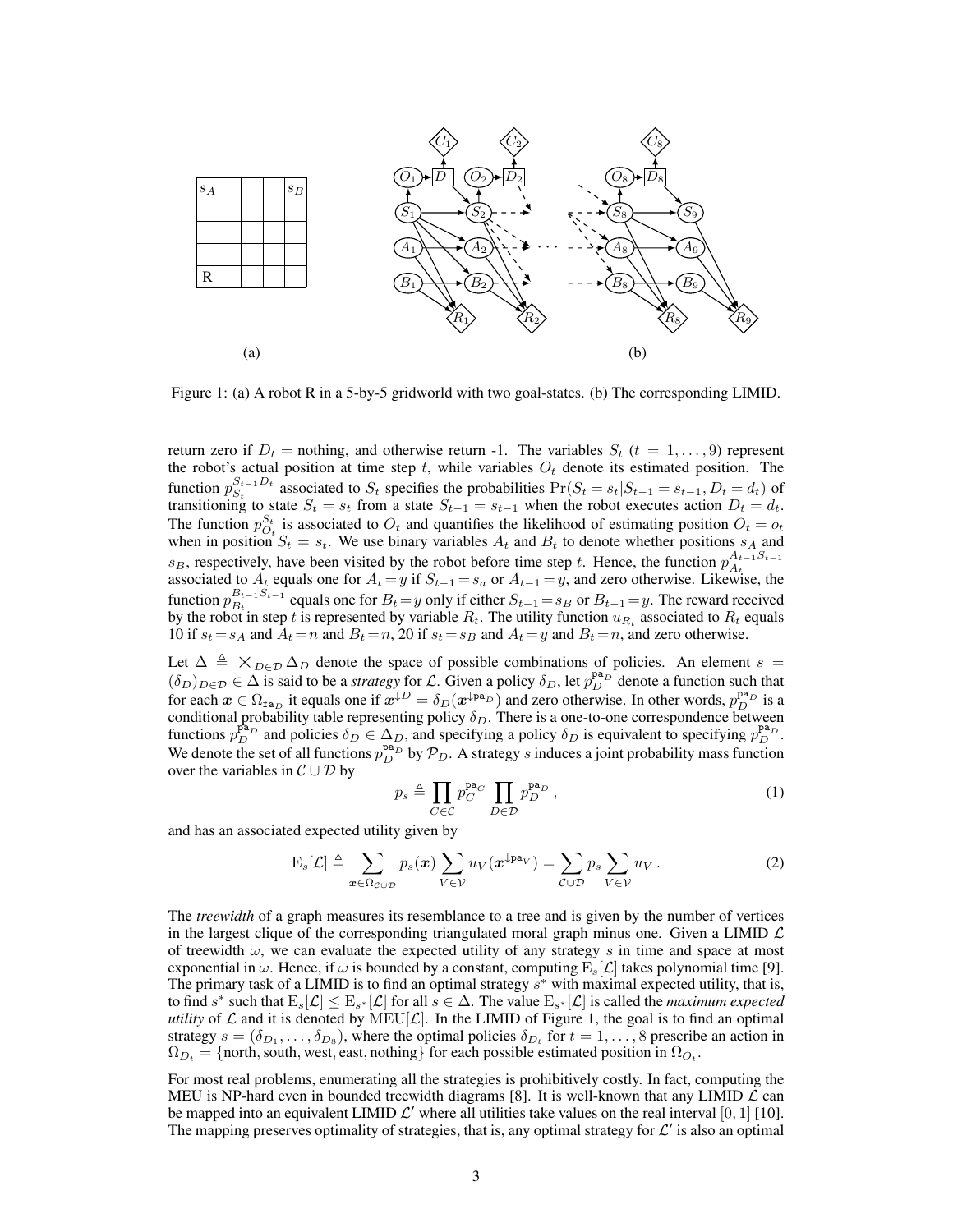

Figure 1: (a) A robot R in a 5-by-5 gridworld with two goal-states. (b) The corresponding LIMID.

return zero if  $D_t$  = nothing, and otherwise return -1. The variables  $S_t$  ( $t = 1, \ldots, 9$ ) represent the robot's actual position at time step t, while variables  $O_t$  denote its estimated position. The function  $p_{S_t}^{S_{t-1}D_t}$  $S_t^{t-1}$  associated to  $S_t$  specifies the probabilities  $Pr(S_t = s_t | S_{t-1} = s_{t-1}, D_t = d_t)$  of transitioning to state  $S_t = s_t$  from a state  $S_{t-1} = s_{t-1}$  when the robot executes action  $D_t = d_t$ . The function  $p_{O_t}^{S_t}$  is associated to  $O_t$  and quantifies the likelihood of estimating position  $O_t = o_t$ when in position  $S_t = s_t$ . We use binary variables  $A_t$  and  $B_t$  to denote whether positions  $s_A$  and  $s_B$ , respectively, have been visited by the robot before time step t. Hence, the function  $p_{A_t}^{A_{t-1}S_{t-1}}$  $A_t$ associated to  $A_t$  equals one for  $A_t = y$  if  $S_{t-1} = s_a$  or  $A_{t-1} = y$ , and zero otherwise. Likewise, the function  $p_{B_t}^{B_{t-1}S_{t-1}}$  $B_{t-1}^{B_{t-1}S_{t-1}}$  equals one for  $B_t = y$  only if either  $S_{t-1} = s_B$  or  $B_{t-1} = y$ . The reward received by the robot in step t is represented by variable  $R_t$ . The utility function  $u_{R_t}$  associated to  $R_t$  equals 10 if  $s_t = s_A$  and  $A_t = n$  and  $B_t = n$ , 20 if  $s_t = s_B$  and  $A_t = y$  and  $B_t = n$ , and zero otherwise.

Let  $\Delta \triangleq \times_{D \in \mathcal{D}} \Delta_D$  denote the space of possible combinations of policies. An element s =  $(\delta_D)_{D \in \mathcal{D}} \in \Delta$  is said to be a *strategy* for L. Given a policy  $\delta_D$ , let  $p_D^{\text{pa}_D}$  denote a function such that for each  $x \in \Omega_{\text{fa}_D}$  it equals one if  $x^{\downarrow D} = \delta_D(x^{\downarrow pa_D})$  and zero otherwise. In other words,  $p_D^{pa_D}$  is a conditional probability table representing policy  $\delta_D$ . There is a one-to-one correspondence between functions  $p_D^{p_{\Delta_D}}$  and policies  $\delta_D \in \Delta_D$ , and specifying a policy  $\delta_D$  is equivalent to specifying  $p_D^{p_{\Delta_D}}$ . We denote the set of all functions  $p_D^{p_{a_D}}$  by  $\mathcal{P}_D$ . A strategy s induces a joint probability mass function over the variables in  $C \cup D$  by

$$
p_s \triangleq \prod_{C \in \mathcal{C}} p_C^{\mathbf{pa}_C} \prod_{D \in \mathcal{D}} p_D^{\mathbf{pa}_D} , \qquad (1)
$$

and has an associated expected utility given by

$$
E_s[\mathcal{L}] \triangleq \sum_{\boldsymbol{x} \in \Omega_{\mathcal{C} \cup \mathcal{D}}} p_s(\boldsymbol{x}) \sum_{V \in \mathcal{V}} u_V(\boldsymbol{x}^{\downarrow \mathbf{pa}_V}) = \sum_{\mathcal{C} \cup \mathcal{D}} p_s \sum_{V \in \mathcal{V}} u_V.
$$
 (2)

The *treewidth* of a graph measures its resemblance to a tree and is given by the number of vertices in the largest clique of the corresponding triangulated moral graph minus one. Given a LIMID  $\mathcal L$ of treewidth  $\omega$ , we can evaluate the expected utility of any strategy s in time and space at most exponential in  $\omega$ . Hence, if  $\omega$  is bounded by a constant, computing  $E_s[\mathcal{L}]$  takes polynomial time [9]. The primary task of a LIMID is to find an optimal strategy  $s^*$  with maximal expected utility, that is, to find s<sup>\*</sup> such that  $E_s[\mathcal{L}] \leq E_{s^*}[\mathcal{L}]$  for all  $s \in \Delta$ . The value  $E_{s^*}[\mathcal{L}]$  is called the *maximum expected utility* of  $\mathcal L$  and it is denoted by  $\text{MEU}[\mathcal L]$ . In the LIMID of Figure 1, the goal is to find an optimal strategy  $s = (\delta_{D_1}, \dots, \delta_{D_8})$ , where the optimal policies  $\delta_{D_t}$  for  $t = 1, \dots, 8$  prescribe an action in  $\Omega_{D_t}$  = {north, south, west, east, nothing} for each possible estimated position in  $\Omega_{O_t}$ .

For most real problems, enumerating all the strategies is prohibitively costly. In fact, computing the MEU is NP-hard even in bounded treewidth diagrams [8]. It is well-known that any LIMID  $\mathcal L$  can be mapped into an equivalent LIMID  $\mathcal{L}'$  where all utilities take values on the real interval [0, 1] [10]. The mapping preserves optimality of strategies, that is, any optimal strategy for  $\mathcal{L}'$  is also an optimal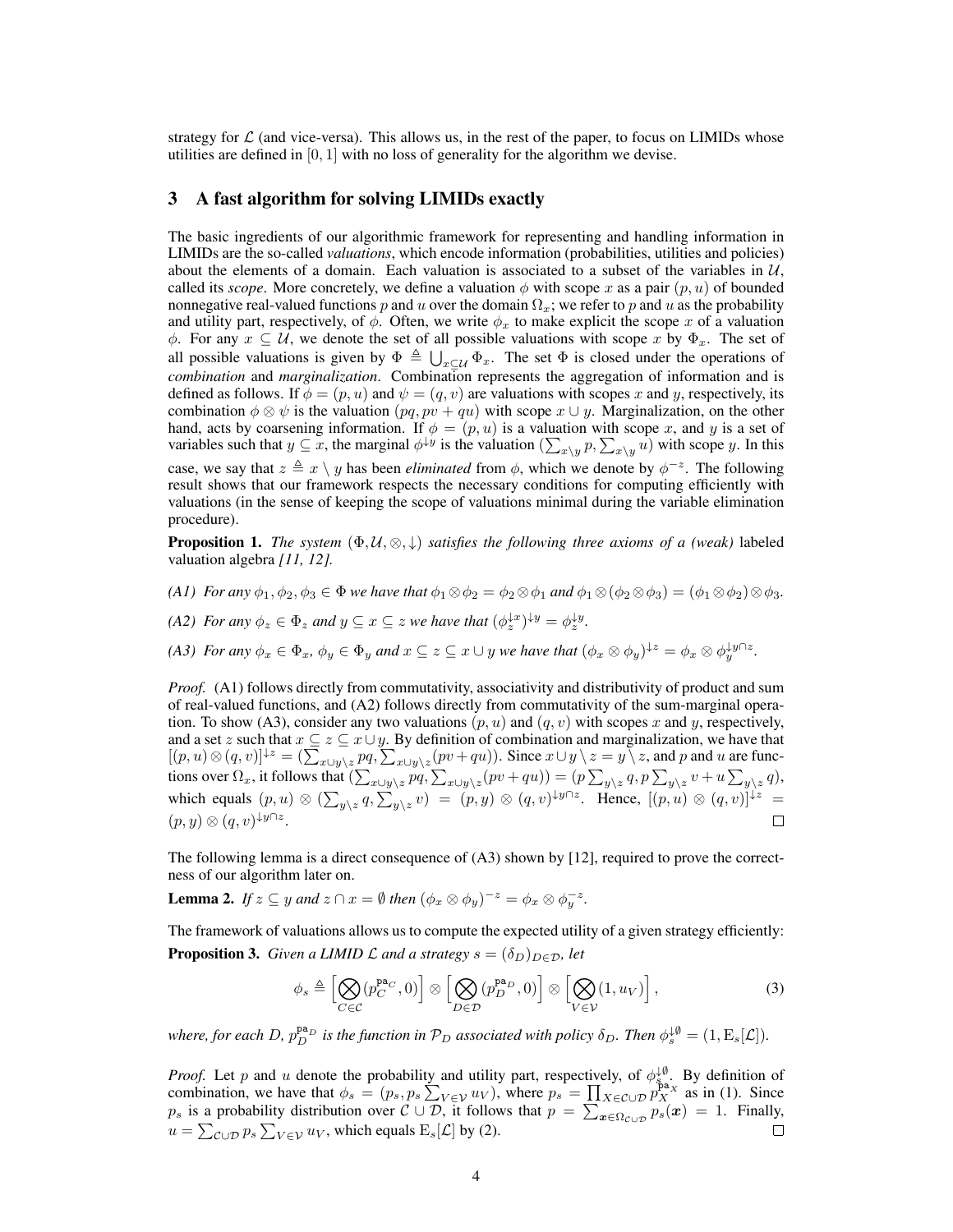strategy for  $\mathcal L$  (and vice-versa). This allows us, in the rest of the paper, to focus on LIMIDs whose utilities are defined in  $[0, 1]$  with no loss of generality for the algorithm we devise.

#### 3 A fast algorithm for solving LIMIDs exactly

The basic ingredients of our algorithmic framework for representing and handling information in LIMIDs are the so-called *valuations*, which encode information (probabilities, utilities and policies) about the elements of a domain. Each valuation is associated to a subset of the variables in  $\mathcal{U}$ , called its *scope*. More concretely, we define a valuation  $\phi$  with scope x as a pair  $(p, u)$  of bounded nonnegative real-valued functions p and u over the domain  $\Omega_x$ ; we refer to p and u as the probability and utility part, respectively, of  $\phi$ . Often, we write  $\phi_x$  to make explicit the scope x of a valuation  $\phi$ . For any  $x \subseteq U$ , we denote the set of all possible valuations with scope x by  $\Phi_x$ . The set of all possible valuations is given by  $\Phi \triangleq \bigcup_{x \subseteq \mathcal{U}} \Phi_x$ . The set  $\Phi$  is closed under the operations of *combination* and *marginalization*. Combination represents the aggregation of information and is defined as follows. If  $\phi = (p, u)$  and  $\psi = (q, v)$  are valuations with scopes x and y, respectively, its combination  $\phi \otimes \psi$  is the valuation  $(pq, pv + qu)$  with scope  $x \cup y$ . Marginalization, on the other hand, acts by coarsening information. If  $\phi = (p, u)$  is a valuation with scope x, and y is a set of variables such that  $y \subseteq x$ , the marginal  $\phi^{\downarrow y}$  is the valuation  $(\sum_{x \setminus y} p, \sum_{x \setminus y} u)$  with scope y. In this case, we say that  $z \triangleq x \setminus y$  has been *eliminated* from  $\phi$ , which we denote by  $\phi^{-z}$ . The following result shows that our framework respects the necessary conditions for computing efficiently with valuations (in the sense of keeping the scope of valuations minimal during the variable elimination procedure).

**Proposition 1.** *The system*  $(\Phi, \mathcal{U}, \otimes, \downarrow)$  *satisfies the following three axioms of a (weak)* labeled valuation algebra *[11, 12].*

*(A1) For any*  $\phi_1, \phi_2, \phi_3 \in \Phi$  *we have that*  $\phi_1 \otimes \phi_2 = \phi_2 \otimes \phi_1$  *and*  $\phi_1 \otimes (\phi_2 \otimes \phi_3) = (\phi_1 \otimes \phi_2) \otimes \phi_3$ .

*(A2) For any*  $\phi_z \in \Phi_z$  *and*  $y \subseteq x \subseteq z$  *we have that*  $(\phi_z^{\downarrow x})^{\downarrow y} = \phi_z^{\downarrow y}$ .

*(A3) For any*  $\phi_x \in \Phi_x$ ,  $\phi_y \in \Phi_y$  *and*  $x \subseteq z \subseteq x \cup y$  *we have that*  $(\phi_x \otimes \phi_y)^{\downarrow z} = \phi_x \otimes \phi_y^{\downarrow y \cap z}$ .

*Proof.* (A1) follows directly from commutativity, associativity and distributivity of product and sum of real-valued functions, and (A2) follows directly from commutativity of the sum-marginal operation. To show (A3), consider any two valuations  $(p, u)$  and  $(q, v)$  with scopes x and y, respectively, and a set z such that  $x \subseteq z \subseteq x \cup y$ . By definition of combination and marginalization, we have that  $[(p, u) \otimes (q, v)]^{\downarrow z} = (\sum_{x \cup y \setminus z} pq, \sum_{x \cup y \setminus z} (pv + qu)).$  Since  $x \cup y \setminus z = y \setminus z$ , and p and u are functions over  $\Omega_x$ , it follows that  $(\sum_{x\cup y\setminus z}pq, \sum_{x\cup y\setminus z}(pv+qu)) = (p\sum_{y\setminus z}q, p\sum_{y\setminus z}v+u\sum_{y\setminus z}q),$ which equals  $(p, u) \otimes (\sum_{y \setminus z} q, \sum_{y \setminus z} v) = (p, y) \otimes (q, v)^{\downarrow} y \cap z$ . Hence,  $[(p, u) \otimes (q, v)]^{\downarrow z} =$  $(p, y) \otimes (q, v)^{\downarrow y \cap z}.$  $\Box$ 

The following lemma is a direct consequence of (A3) shown by [12], required to prove the correctness of our algorithm later on.

**Lemma 2.** *If*  $z \subseteq y$  *and*  $z \cap x = \emptyset$  *then*  $(\phi_x \otimes \phi_y)^{-z} = \phi_x \otimes \phi_y^{-z}$ *.* 

The framework of valuations allows us to compute the expected utility of a given strategy efficiently: **Proposition 3.** *Given a LIMID L and a strategy*  $s = (\delta_D)_{D \in \mathcal{D}}$ *, let* 

$$
\phi_s \triangleq \left[ \bigotimes_{C \in \mathcal{C}} (p_C^{\mathbf{pa}_C}, 0) \right] \otimes \left[ \bigotimes_{D \in \mathcal{D}} (p_D^{\mathbf{pa}_D}, 0) \right] \otimes \left[ \bigotimes_{V \in \mathcal{V}} (1, u_V) \right],\tag{3}
$$

where, for each D,  $p_D^{pa}$  is the function in  $\mathcal{P}_D$  associated with policy  $\delta_D$ . Then  $\phi_s^{\downarrow\emptyset} = (1, \text{E}_s[\mathcal{L}]).$ 

*Proof.* Let p and u denote the probability and utility part, respectively, of  $\phi_{s}^{\downarrow\emptyset}$ . By definition of combination, we have that  $\phi_s = (p_s, p_s \sum_{V \in \mathcal{V}} u_V)$ , where  $p_s = \prod_{X \in \mathcal{C} \cup \mathcal{D}} p_X^{\text{pa}_X}$  as in (1). Since  $p_s$  is a probability distribution over  $\mathcal{C} \cup \mathcal{D}$ , it follows that  $p = \sum_{x \in \Omega_{\mathcal{C} \cup \mathcal{D}}} p_s(x) = 1$ . Finally,  $u = \sum_{\mathcal{C} \cup \mathcal{D}} p_s \sum_{V \in \mathcal{V}} u_V$ , which equals  $\mathrm{E}_s[\mathcal{L}]$  by (2).  $\Box$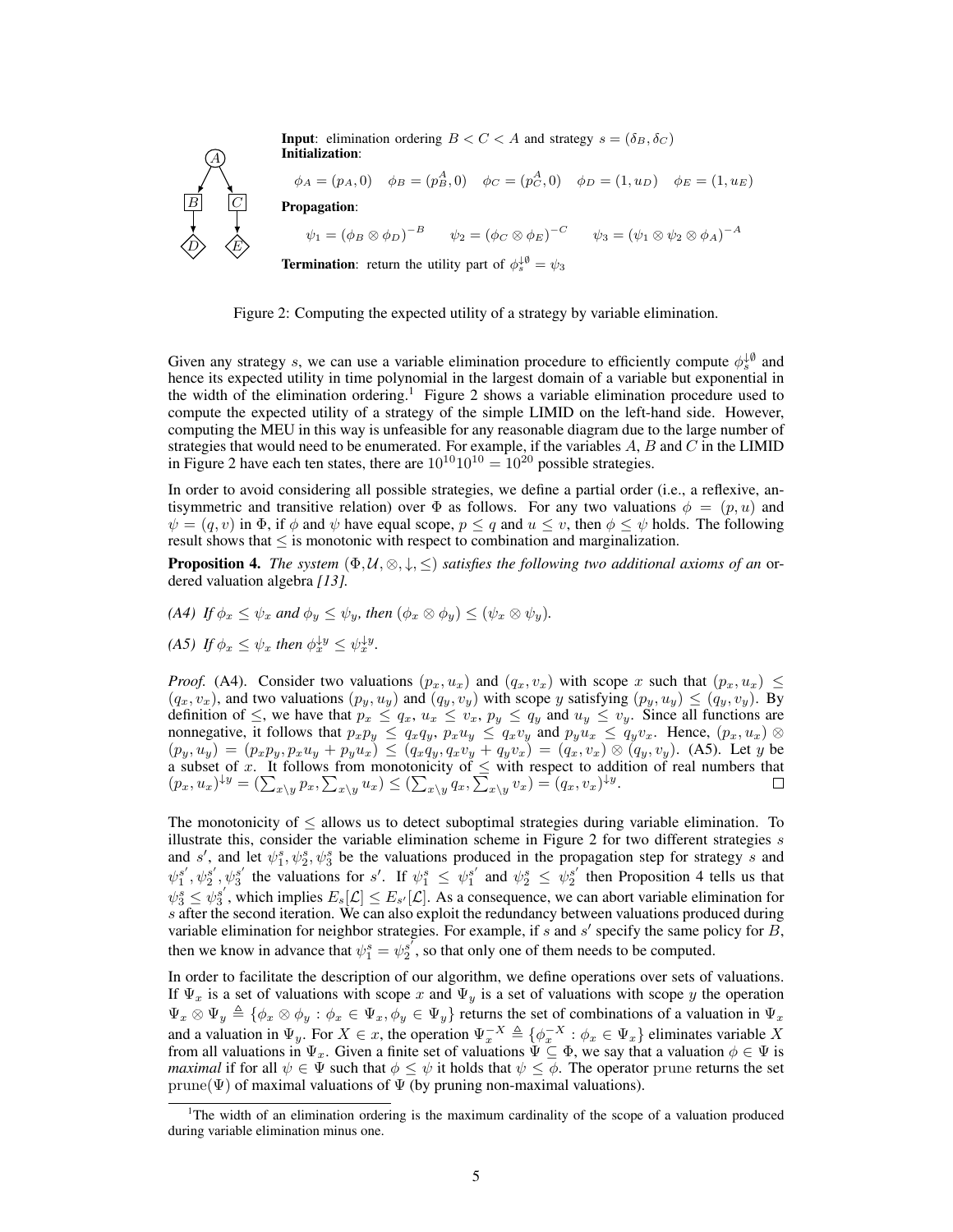A  $B$   $|C|$  $\langle D \rangle$   $\langle E \rangle$ **Input:** elimination ordering  $B < C < A$  and strategy  $s = (\delta_B, \delta_C)$ Initialization:  $\phi_A = (p_A, 0) \quad \phi_B = (p^A_B, 0) \quad \phi_C = (p^A_C, 0) \quad \phi_D = (1, u_D) \quad \phi_E = (1, u_E)$ Propagation:  $\psi_1 = \left(\phi_B \otimes \phi_D\right)^{-B} \qquad \psi_2 = \left(\phi_C \otimes \phi_E\right)^{-C} \qquad \psi_3 = \left(\psi_1 \otimes \psi_2 \otimes \phi_A\right)^{-A}$ **Termination**: return the utility part of  $\phi_s^{\downarrow \emptyset} = \psi_3$ 



Given any strategy s, we can use a variable elimination procedure to efficiently compute  $\phi_s^{\downarrow\emptyset}$  and hence its expected utility in time polynomial in the largest domain of a variable but exponential in the width of the elimination ordering.<sup>1</sup> Figure 2 shows a variable elimination procedure used to compute the expected utility of a strategy of the simple LIMID on the left-hand side. However, computing the MEU in this way is unfeasible for any reasonable diagram due to the large number of strategies that would need to be enumerated. For example, if the variables  $A, B$  and  $C$  in the LIMID in Figure 2 have each ten states, there are  $10^{10}10^{10} = 10^{20}$  possible strategies.

In order to avoid considering all possible strategies, we define a partial order (i.e., a reflexive, antisymmetric and transitive relation) over  $\Phi$  as follows. For any two valuations  $\phi = (p, u)$  and  $\psi = (q, v)$  in  $\Phi$ , if  $\phi$  and  $\psi$  have equal scope,  $p \leq q$  and  $u \leq v$ , then  $\phi \leq \psi$  holds. The following result shows that  $\leq$  is monotonic with respect to combination and marginalization.

**Proposition 4.** *The system*  $(\Phi, \mathcal{U}, \otimes, \downarrow, \leq)$  *satisfies the following two additional axioms of an* ordered valuation algebra *[13].*

- *(A4) If*  $\phi_x \leq \psi_x$  *and*  $\phi_y \leq \psi_y$ *, then*  $(\phi_x \otimes \phi_y) \leq (\psi_x \otimes \psi_y)$ *.*
- (A5) If  $\phi_x \leq \psi_x$  then  $\phi_x^{\downarrow y} \leq \psi_x^{\downarrow y}$ .

*Proof.* (A4). Consider two valuations  $(p_x, u_x)$  and  $(q_x, v_x)$  with scope x such that  $(p_x, u_x) \leq$  $(q_x, v_x)$ , and two valuations  $(p_y, u_y)$  and  $(q_y, v_y)$  with scope y satisfying  $(p_y, u_y) \leq (q_y, v_y)$ . By definition of  $\leq$ , we have that  $p_x \leq q_x$ ,  $u_x \leq v_x$ ,  $p_y \leq q_y$  and  $u_y \leq v_y$ . Since all functions are nonnegative, it follows that  $p_x p_y \le q_x q_y$ ,  $p_x u_y \le q_x v_y$  and  $p_y u_x \le q_y v_x$ . Hence,  $(p_x, u_x) \otimes p_y$  $(p_y, u_y) = (p_x p_y, p_x u_y + p_y u_x) \le (q_x q_y, q_x v_y + q_y v_x) = (q_x, v_x) \otimes (q_y, v_y)$ . (A5). Let y be a subset of x. It follows from monotonicity of  $\leq$  with respect to addition of real numbers that  $(p_x, u_x)^{\downarrow y} = \left(\sum_{x\setminus y} p_x, \sum_{x\setminus y} u_x\right) \leq \left(\sum_{x\setminus y} q_x, \sum_{x\setminus y} v_x\right) = (q_x, v_x)^{\downarrow y}.$ 

The monotonicity of  $\leq$  allows us to detect suboptimal strategies during variable elimination. To illustrate this, consider the variable elimination scheme in Figure 2 for two different strategies  $s$ and s', and let  $\psi_1^s, \psi_2^s, \psi_3^s$  be the valuations produced in the propagation step for strategy s and  $\psi_1^{s'}, \psi_2^{s'}$ ,  $\psi_3^{s'}$  the valuations for s'. If  $\psi_1^s \leq \psi_1^{s'}$  and  $\psi_2^s \leq \psi_2^{s'}$  then Proposition 4 tells us that  $\psi_3^s \leq \psi_3^{s'}$ , which implies  $E_s[\mathcal{L}] \leq E_{s'}[\mathcal{L}]$ . As a consequence, we can abort variable elimination for s after the second iteration. We can also exploit the redundancy between valuations produced during variable elimination for neighbor strategies. For example, if s and s' specify the same policy for  $\overline{B}$ , then we know in advance that  $\psi_1^s = \psi_2^{s'}$ , so that only one of them needs to be computed.

In order to facilitate the description of our algorithm, we define operations over sets of valuations. If  $\Psi_x$  is a set of valuations with scope x and  $\Psi_y$  is a set of valuations with scope y the operation  $\Psi_x \otimes \Psi_y \triangleq {\phi_x \otimes \phi_y : \phi_x \in \Psi_x, \phi_y \in \Psi_y}$  returns the set of combinations of a valuation in  $\Psi_x$ and a valuation in  $\Psi_y$ . For  $X \in \mathcal{X}$ , the operation  $\Psi_x^{-X} \triangleq {\{\phi_x^{-X} : \phi_x \in \Psi_x\}}$  eliminates variable X from all valuations in  $\Psi_x$ . Given a finite set of valuations  $\Psi \subseteq \Phi$ , we say that a valuation  $\phi \in \Psi$  is *maximal* if for all  $\psi \in \Psi$  such that  $\phi \leq \psi$  it holds that  $\psi \leq \phi$ . The operator prune returns the set prune( $\Psi$ ) of maximal valuations of  $\Psi$  (by pruning non-maximal valuations).

<sup>1</sup>The width of an elimination ordering is the maximum cardinality of the scope of a valuation produced during variable elimination minus one.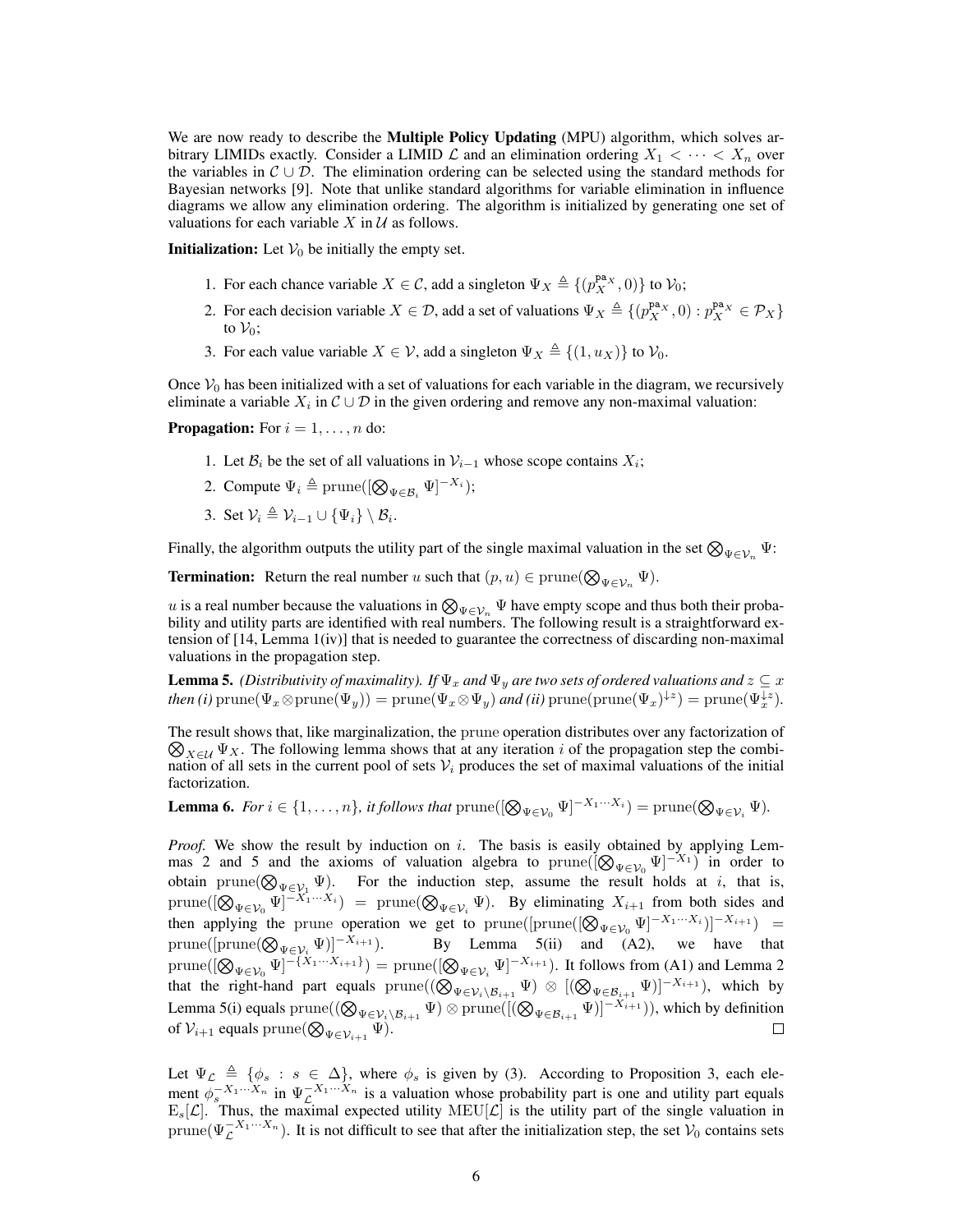We are now ready to describe the **Multiple Policy Updating** (MPU) algorithm, which solves arbitrary LIMIDs exactly. Consider a LIMID  $\mathcal L$  and an elimination ordering  $X_1 < \cdots < X_n$  over the variables in  $\mathcal{C} \cup \mathcal{D}$ . The elimination ordering can be selected using the standard methods for Bayesian networks [9]. Note that unlike standard algorithms for variable elimination in influence diagrams we allow any elimination ordering. The algorithm is initialized by generating one set of valuations for each variable  $X$  in  $U$  as follows.

**Initialization:** Let  $V_0$  be initially the empty set.

- 1. For each chance variable  $X \in \mathcal{C}$ , add a singleton  $\Psi_X \triangleq \{ (p_X^{\mathbf{pa}_X}, 0) \}$  to  $\mathcal{V}_0$ ;
- 2. For each decision variable  $X \in \mathcal{D}$ , add a set of valuations  $\Psi_X \triangleq \{(p_X^{\mathbf{pa}_X}, 0) : p_X^{\mathbf{pa}_X} \in \mathcal{P}_X\}$ to  $V_0$ ;
- 3. For each value variable  $X \in \mathcal{V}$ , add a singleton  $\Psi_X \triangleq \{(1, u_X)\}\$ to  $\mathcal{V}_0$ .

Once  $V_0$  has been initialized with a set of valuations for each variable in the diagram, we recursively eliminate a variable  $X_i$  in  $\mathcal{C} \cup \mathcal{D}$  in the given ordering and remove any non-maximal valuation:

**Propagation:** For  $i = 1, \ldots, n$  do:

- 1. Let  $\mathcal{B}_i$  be the set of all valuations in  $\mathcal{V}_{i-1}$  whose scope contains  $X_i$ ;
- 2. Compute  $\Psi_i \triangleq \text{prune}([\bigotimes_{\Psi \in \mathcal{B}_i} \Psi]^{-X_i});$
- 3. Set  $\mathcal{V}_i \triangleq \mathcal{V}_{i-1} \cup {\Psi_i} \setminus \mathcal{B}_i$ .

Finally, the algorithm outputs the utility part of the single maximal valuation in the set  $\bigotimes_{\Psi \in V_n} \Psi$ :

**Termination:** Return the real number u such that  $(p, u) \in \text{prune}(\bigotimes_{\Psi \in \mathcal{V}_n} \Psi)$ .

u is a real number because the valuations in  $\bigotimes_{\Psi \in \mathcal{V}_n} \Psi$  have empty scope and thus both their probability and utility parts are identified with real numbers. The following result is a straightforward extension of [14, Lemma 1(iv)] that is needed to guarantee the correctness of discarding non-maximal valuations in the propagation step.

**Lemma 5.** *(Distributivity of maximality). If*  $\Psi_x$  *and*  $\Psi_y$  *are two sets of ordered valuations and*  $z \subseteq x$  $then (i) \text{ prune}(\Psi_x \otimes \text{prune}(\Psi_y)) = \text{prune}(\Psi_x \otimes \Psi_y) \text{ and } (ii) \text{ prune}(\text{prune}(\Psi_x)^{\downarrow z}) = \text{prune}(\Psi_x^{\downarrow z}).$ 

The result shows that, like marginalization, the prune operation distributes over any factorization of  $\bigotimes_{X \in \mathcal{U}} \Psi_X$ . The following lemma shows that at any iteration i of the propagation step the combination of all sets in the current pool of sets  $V_i$  produces the set of maximal valuations of the initial factorization.

**Lemma 6.** *For*  $i \in \{1, ..., n\}$ *, it follows that*  $\text{prune}([\bigotimes_{\Psi \in \mathcal{V}_0} \Psi]^{-X_1 \cdots X_i}) = \text{prune}(\bigotimes_{\Psi \in \mathcal{V}_i} \Psi)$ *.* 

*Proof.* We show the result by induction on i. The basis is easily obtained by applying Lemmas 2 and 5 and the axioms of valuation algebra to prune( $[Q_{\Psi \in V_0} \Psi]^{-X_1}$ ) in order to obtain prune( $\bigotimes_{\Psi \in \mathcal{V}_1} \Psi$ ). For the induction step, assume the result holds at i, that is,  $\text{prune}([\bigotimes_{\Psi \in \mathcal{V}_0} \Psi]^{-X_1 \cdots X_i}) = \text{prune}(\bigotimes_{\Psi \in \mathcal{V}_i} \Psi)$ . By eliminating  $X_{i+1}$  from both sides and then applying the prune operation we get to prune([prune( $[\otimes_{\Psi \in \mathcal{V}_0} \Psi]^{-X_1 \cdots X_i}$ )] $^{-X_{i+1}}$ ) = prune([prune( $\bigotimes_{\Psi \in \mathcal{V}_i} \Psi$ ]<sup>-X<sub>i+1</sub></sup>). By Lemma 5(ii) and (A2), we have that  $\Psi \in {\cal V}_i$  $\text{prune}([\bigotimes_{\Psi \in \mathcal{V}_0} \Psi]^{-\{X_1 \cdots X_{i+1}\}}) = \text{prune}([\bigotimes_{\Psi \in \mathcal{V}_i} \Psi]^{-X_{i+1}})$ . It follows from (A1) and Lemma 2 that the right-hand part equals  $\text{prune}((\bigotimes_{\Psi \in \mathcal{V}_i \setminus \mathcal{B}_{i+1}} \Psi) \otimes [(\bigotimes_{\Psi \in \mathcal{B}_{i+1}} \Psi)]^{-X_{i+1}})$ , which by Lemma 5(i) equals  $\text{prune}((\bigotimes_{\Psi \in \mathcal{V}_i \setminus \mathcal{B}_{i+1}} \Psi) \otimes \text{prune}([(\bigotimes_{\Psi \in \mathcal{B}_{i+1}} \Psi)]^{-X_{i+1}})),$  which by definition of  $\mathcal{V}_{i+1}$  equals  $\mathrm{prune}(\bigotimes_{\Psi \in \mathcal{V}_{i+1}} \Psi).$  $\Box$ 

Let  $\Psi_{\mathcal{L}} \triangleq {\varphi_s : s \in \Delta}$ , where  $\phi_s$  is given by (3). According to Proposition 3, each element  $\phi_s^{-X_1\cdots X_n}$  in  $\Psi_c^{-X_1\cdots X_n}$  is a valuation whose probability part is one and utility part equals  $E_s[\mathcal{L}]$ . Thus, the maximal expected utility MEU $[\mathcal{L}]$  is the utility part of the single valuation in prune( $\Psi_{\mathcal{L}}^{-X_1\cdots X_n}$ ). It is not difficult to see that after the initialization step, the set  $\mathcal{V}_0$  contains sets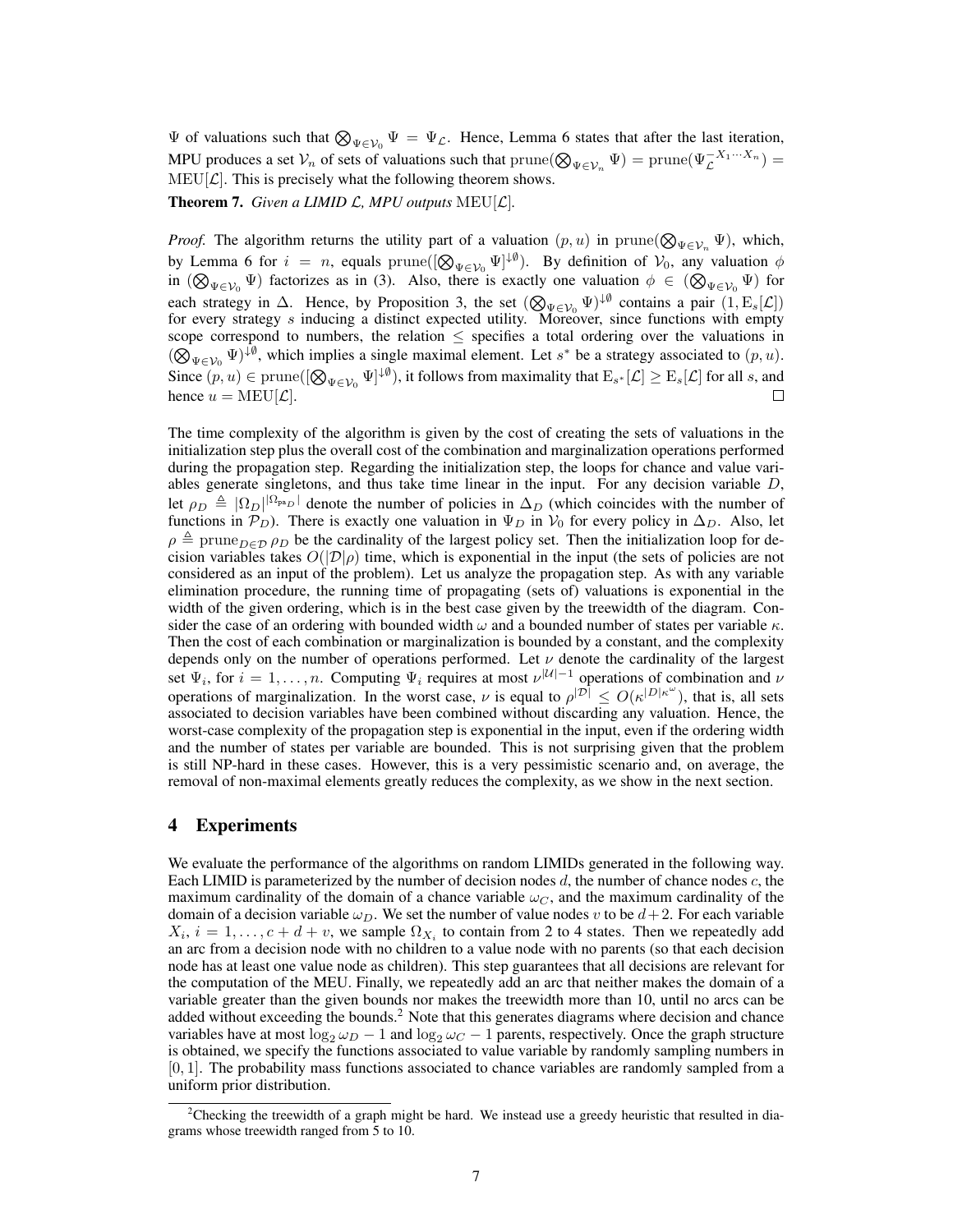$\Psi$  of valuations such that  $\bigotimes_{\Psi \in \mathcal{V}_0} \Psi = \Psi_{\mathcal{L}}$ . Hence, Lemma 6 states that after the last iteration, MPU produces a set  $V_n$  of sets of valuations such that  $\text{prune}(\bigotimes_{\Psi \in \mathcal{V}_n} \Psi) = \text{prune}(\Psi_{\mathcal{L}}^{-X_1 \cdots X_n}) =$  $MEU[\mathcal{L}]$ . This is precisely what the following theorem shows.

**Theorem 7.** *Given a LIMID*  $\mathcal{L}$ *, MPU outputs* MEU[ $\mathcal{L}$ ].

*Proof.* The algorithm returns the utility part of a valuation  $(p, u)$  in  $prune(\bigotimes_{\Psi \in \mathcal{V}_n} \Psi)$ , which, by Lemma 6 for  $i = n$ , equals  $\text{prune}([\bigotimes_{\Psi \in \mathcal{V}_0} \Psi]^{\downarrow \emptyset})$ . By definition of  $\mathcal{V}_0$ , any valuation  $\phi$ in  $(\bigotimes_{\Psi \in \mathcal{V}_0} \Psi)$  factorizes as in (3). Also, there is exactly one valuation  $\phi \in (\bigotimes_{\Psi \in \mathcal{V}_0} \Psi)$  for each strategy in  $\Delta$ . Hence, by Proposition 3, the set  $(\bigotimes_{\Psi \in \mathcal{V}_0} \Psi)^{\downarrow \emptyset}$  contains a pair  $(1, E_s[\mathcal{L}])$ for every strategy s inducing a distinct expected utility. Moreover, since functions with empty scope correspond to numbers, the relation  $\leq$  specifies a total ordering over the valuations in  $(\bigotimes_{\Psi \in \mathcal{V}_0} \Psi)^{\downarrow \emptyset}$ , which implies a single maximal element. Let s<sup>\*</sup> be a strategy associated to  $(p, u)$ . Since  $(p, u) \in \text{prune}([\bigotimes_{\Psi \in \mathcal{V}_0} \Psi]^{\downarrow \emptyset})$ , it follows from maximality that  $\text{E}_{s^*}[\mathcal{L}] \geq \text{E}_{s}[\mathcal{L}]$  for all s, and hence  $u = \text{MEU}[\mathcal{L}].$  $\Box$ 

The time complexity of the algorithm is given by the cost of creating the sets of valuations in the initialization step plus the overall cost of the combination and marginalization operations performed during the propagation step. Regarding the initialization step, the loops for chance and value variables generate singletons, and thus take time linear in the input. For any decision variable  $D$ , let  $\rho_D \triangleq |\Omega_D|^{|\Omega_{\text{pa}}|}$  denote the number of policies in  $\Delta_D$  (which coincides with the number of functions in  $\mathcal{P}_D$ ). There is exactly one valuation in  $\Psi_D$  in  $\mathcal{V}_0$  for every policy in  $\Delta_D$ . Also, let  $\rho \triangleq$  prune $_{D\in\mathcal{D}}$   $\rho_D$  be the cardinality of the largest policy set. Then the initialization loop for decision variables takes  $O(|\mathcal{D}|\rho)$  time, which is exponential in the input (the sets of policies are not considered as an input of the problem). Let us analyze the propagation step. As with any variable elimination procedure, the running time of propagating (sets of) valuations is exponential in the width of the given ordering, which is in the best case given by the treewidth of the diagram. Consider the case of an ordering with bounded width  $\omega$  and a bounded number of states per variable  $\kappa$ . Then the cost of each combination or marginalization is bounded by a constant, and the complexity depends only on the number of operations performed. Let  $\nu$  denote the cardinality of the largest set  $\Psi_i$ , for  $i = 1, ..., n$ . Computing  $\Psi_i$  requires at most  $\nu^{|U|-1}$  operations of combination and  $\nu$ operations of marginalization. In the worst case,  $\nu$  is equal to  $\rho^{|\mathcal{D}|} \leq O(\kappa^{|D|\kappa^{\omega}})$ , that is, all sets associated to decision variables have been combined without discarding any valuation. Hence, the worst-case complexity of the propagation step is exponential in the input, even if the ordering width and the number of states per variable are bounded. This is not surprising given that the problem is still NP-hard in these cases. However, this is a very pessimistic scenario and, on average, the removal of non-maximal elements greatly reduces the complexity, as we show in the next section.

#### 4 Experiments

We evaluate the performance of the algorithms on random LIMIDs generated in the following way. Each LIMID is parameterized by the number of decision nodes  $d$ , the number of chance nodes  $c$ , the maximum cardinality of the domain of a chance variable  $\omega_C$ , and the maximum cardinality of the domain of a decision variable  $\omega_D$ . We set the number of value nodes v to be  $d+2$ . For each variable  $X_i$ ,  $i = 1, \ldots, c + d + v$ , we sample  $\Omega_{X_i}$  to contain from 2 to 4 states. Then we repeatedly add an arc from a decision node with no children to a value node with no parents (so that each decision node has at least one value node as children). This step guarantees that all decisions are relevant for the computation of the MEU. Finally, we repeatedly add an arc that neither makes the domain of a variable greater than the given bounds nor makes the treewidth more than 10, until no arcs can be added without exceeding the bounds.<sup>2</sup> Note that this generates diagrams where decision and chance variables have at most  $\log_2 \omega_D - 1$  and  $\log_2 \omega_C - 1$  parents, respectively. Once the graph structure is obtained, we specify the functions associated to value variable by randomly sampling numbers in [0, 1]. The probability mass functions associated to chance variables are randomly sampled from a uniform prior distribution.

<sup>&</sup>lt;sup>2</sup>Checking the treewidth of a graph might be hard. We instead use a greedy heuristic that resulted in diagrams whose treewidth ranged from 5 to 10.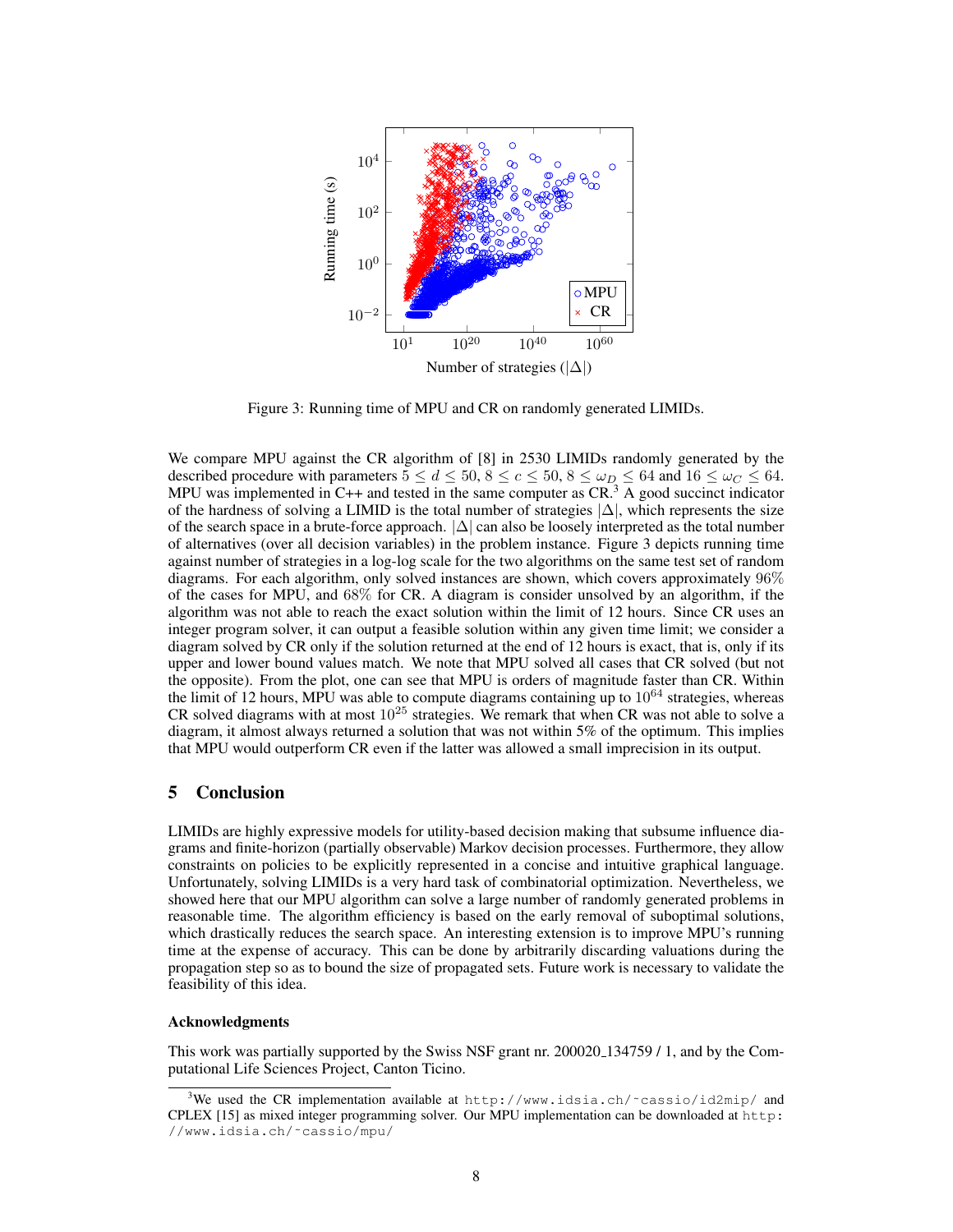

Figure 3: Running time of MPU and CR on randomly generated LIMIDs.

We compare MPU against the CR algorithm of [8] in 2530 LIMIDs randomly generated by the described procedure with parameters  $5 \le d \le 50$ ,  $8 \le c \le 50$ ,  $8 \le \omega_D \le 64$  and  $16 \le \omega_C \le 64$ . MPU was implemented in C++ and tested in the same computer as  $CR<sup>3</sup>$  A good succinct indicator of the hardness of solving a LIMID is the total number of strategies  $|\Delta|$ , which represents the size of the search space in a brute-force approach.  $|\Delta|$  can also be loosely interpreted as the total number of alternatives (over all decision variables) in the problem instance. Figure 3 depicts running time against number of strategies in a log-log scale for the two algorithms on the same test set of random diagrams. For each algorithm, only solved instances are shown, which covers approximately 96% of the cases for MPU, and 68% for CR. A diagram is consider unsolved by an algorithm, if the algorithm was not able to reach the exact solution within the limit of 12 hours. Since CR uses an integer program solver, it can output a feasible solution within any given time limit; we consider a diagram solved by CR only if the solution returned at the end of 12 hours is exact, that is, only if its upper and lower bound values match. We note that MPU solved all cases that CR solved (but not the opposite). From the plot, one can see that MPU is orders of magnitude faster than CR. Within the limit of 12 hours, MPU was able to compute diagrams containing up to  $10^{64}$  strategies, whereas CR solved diagrams with at most  $10^{25}$  strategies. We remark that when CR was not able to solve a diagram, it almost always returned a solution that was not within 5% of the optimum. This implies that MPU would outperform CR even if the latter was allowed a small imprecision in its output.

#### 5 Conclusion

LIMIDs are highly expressive models for utility-based decision making that subsume influence diagrams and finite-horizon (partially observable) Markov decision processes. Furthermore, they allow constraints on policies to be explicitly represented in a concise and intuitive graphical language. Unfortunately, solving LIMIDs is a very hard task of combinatorial optimization. Nevertheless, we showed here that our MPU algorithm can solve a large number of randomly generated problems in reasonable time. The algorithm efficiency is based on the early removal of suboptimal solutions, which drastically reduces the search space. An interesting extension is to improve MPU's running time at the expense of accuracy. This can be done by arbitrarily discarding valuations during the propagation step so as to bound the size of propagated sets. Future work is necessary to validate the feasibility of this idea.

#### Acknowledgments

This work was partially supported by the Swiss NSF grant nr. 200020 134759 / 1, and by the Computational Life Sciences Project, Canton Ticino.

<sup>&</sup>lt;sup>3</sup>We used the CR implementation available at http://www.idsia.ch/~cassio/id2mip/ and CPLEX [15] as mixed integer programming solver. Our MPU implementation can be downloaded at http: //www.idsia.ch/˜cassio/mpu/